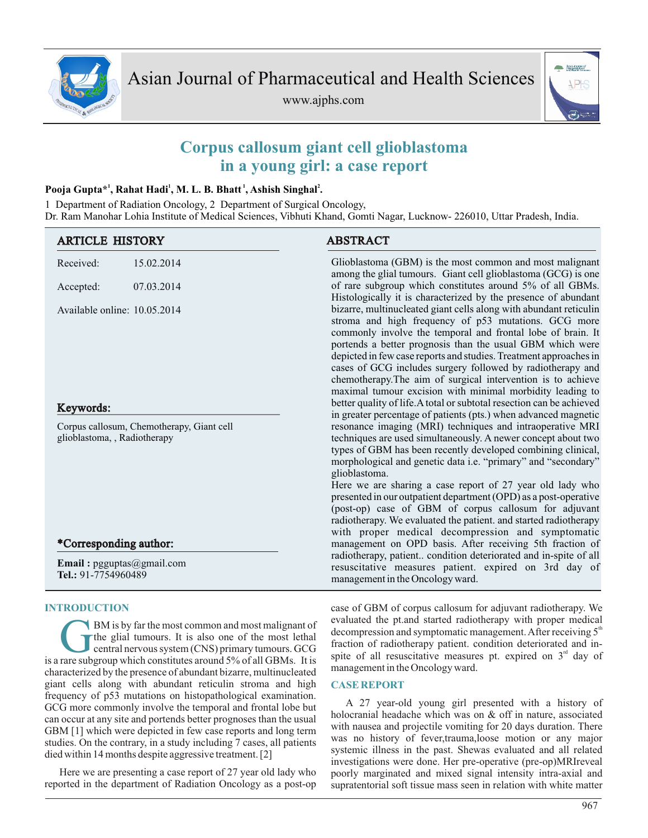

www.ajphs.com



# **Corpus callosum giant cell glioblastoma in a young girl: a case report**

# **1 1 1 2 Pooja Gupta\* , Rahat Hadi , M. L. B. Bhatt , Ashish Singhal .**

1 Department of Radiation Oncology, 2 Department of Surgical Oncology, Dr. Ram Manohar Lohia Institute of Medical Sciences, Vibhuti Khand, Gomti Nagar, Lucknow- 226010, Uttar Pradesh, India.

| <b>ARTICLE HISTORY</b>                                                    |                           | <b>ABSTRACT</b>                                                                                                                                                                                                                                                                                                                                                                                                                                                                                                                                                                                                                                                                                                                                                                                                                                                                                                                                                                                                                                                                                                                                                                                                                                                                                                                  |
|---------------------------------------------------------------------------|---------------------------|----------------------------------------------------------------------------------------------------------------------------------------------------------------------------------------------------------------------------------------------------------------------------------------------------------------------------------------------------------------------------------------------------------------------------------------------------------------------------------------------------------------------------------------------------------------------------------------------------------------------------------------------------------------------------------------------------------------------------------------------------------------------------------------------------------------------------------------------------------------------------------------------------------------------------------------------------------------------------------------------------------------------------------------------------------------------------------------------------------------------------------------------------------------------------------------------------------------------------------------------------------------------------------------------------------------------------------|
| Received:                                                                 | 15.02.2014                | Glioblastoma (GBM) is the most common and most malignant<br>among the glial tumours. Giant cell glioblastoma (GCG) is one<br>of rare subgroup which constitutes around 5% of all GBMs.<br>Histologically it is characterized by the presence of abundant                                                                                                                                                                                                                                                                                                                                                                                                                                                                                                                                                                                                                                                                                                                                                                                                                                                                                                                                                                                                                                                                         |
| Accepted:                                                                 | 07.03.2014                |                                                                                                                                                                                                                                                                                                                                                                                                                                                                                                                                                                                                                                                                                                                                                                                                                                                                                                                                                                                                                                                                                                                                                                                                                                                                                                                                  |
| Available online: 10.05.2014<br>Keywords:                                 |                           | bizarre, multinucleated giant cells along with abundant reticulin<br>stroma and high frequency of p53 mutations. GCG more<br>commonly involve the temporal and frontal lobe of brain. It<br>portends a better prognosis than the usual GBM which were<br>depicted in few case reports and studies. Treatment approaches in<br>cases of GCG includes surgery followed by radiotherapy and<br>chemotherapy. The aim of surgical intervention is to achieve<br>maximal tumour excision with minimal morbidity leading to<br>better quality of life. A total or subtotal resection can be achieved<br>in greater percentage of patients (pts.) when advanced magnetic<br>resonance imaging (MRI) techniques and intraoperative MRI<br>techniques are used simultaneously. A newer concept about two<br>types of GBM has been recently developed combining clinical,<br>morphological and genetic data i.e. "primary" and "secondary"<br>glioblastoma.<br>Here we are sharing a case report of 27 year old lady who<br>presented in our outpatient department (OPD) as a post-operative<br>(post-op) case of GBM of corpus callosum for adjuvant<br>radiotherapy. We evaluated the patient. and started radiotherapy<br>with proper medical decompression and symptomatic<br>management on OPD basis. After receiving 5th fraction of |
| Corpus callosum, Chemotherapy, Giant cell<br>glioblastoma, , Radiotherapy |                           |                                                                                                                                                                                                                                                                                                                                                                                                                                                                                                                                                                                                                                                                                                                                                                                                                                                                                                                                                                                                                                                                                                                                                                                                                                                                                                                                  |
| *Corresponding author:                                                    |                           |                                                                                                                                                                                                                                                                                                                                                                                                                                                                                                                                                                                                                                                                                                                                                                                                                                                                                                                                                                                                                                                                                                                                                                                                                                                                                                                                  |
| Tel.: 91-7754960489                                                       | Email: pgguptas@gmail.com | radiotherapy, patient condition deteriorated and in-spite of all<br>resuscitative measures patient. expired on 3rd day of<br>management in the Oncology ward.                                                                                                                                                                                                                                                                                                                                                                                                                                                                                                                                                                                                                                                                                                                                                                                                                                                                                                                                                                                                                                                                                                                                                                    |

# **INTRODUCTION**

BM is by far the most common and most malignant of<br>the glial tumours. It is also one of the most lethal<br>central nervous system (CNS) primary tumours. GCG<br>is a rare subgroup which constitutes around 5% of all GBMs. It is BM is by far the most common and most malignant of the glial tumours. It is also one of the most lethal central nervous system (CNS) primary tumours. GCG characterized by the presence of abundant bizarre, multinucleated giant cells along with abundant reticulin stroma and high frequency of p53 mutations on histopathological examination. GCG more commonly involve the temporal and frontal lobe but can occur at any site and portends better prognoses than the usual GBM [1] which were depicted in few case reports and long term studies. On the contrary, in a study including 7 cases, all patients died within 14 months despite aggressive treatment. [2]

Here we are presenting a case report of 27 year old lady who reported in the department of Radiation Oncology as a post-op case of GBM of corpus callosum for adjuvant radiotherapy. We evaluated the pt.and started radiotherapy with proper medical decompression and symptomatic management. After receiving  $5<sup>th</sup>$ fraction of radiotherapy patient. condition deteriorated and inspite of all resuscitative measures pt. expired on  $3<sup>rd</sup>$  day of management in the Oncology ward.

## **CASE REPORT**

A 27 year-old young girl presented with a history of holocranial headache which was on & off in nature, associated with nausea and projectile vomiting for 20 days duration. There was no history of fever,trauma,loose motion or any major systemic illness in the past. Shewas evaluated and all related investigations were done. Her pre-operative (pre-op)MRIreveal poorly marginated and mixed signal intensity intra-axial and supratentorial soft tissue mass seen in relation with white matter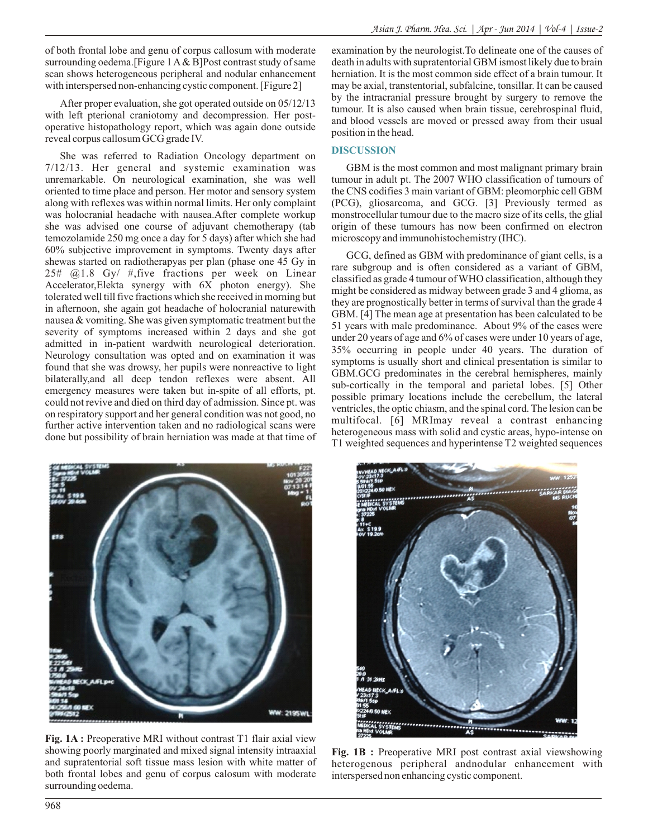of both frontal lobe and genu of corpus callosum with moderate surrounding oedema.[Figure 1 A& B]Post contrast study of same scan shows heterogeneous peripheral and nodular enhancement with interspersed non-enhancing cystic component. [Figure 2]

After proper evaluation, she got operated outside on 05/12/13 with left pterional craniotomy and decompression. Her postoperative histopathology report, which was again done outside reveal corpus callosum GCG grade IV.

She was referred to Radiation Oncology department on 7/12/13. Her general and systemic examination was unremarkable. On neurological examination, she was well oriented to time place and person. Her motor and sensory system along with reflexes was within normal limits. Her only complaint was holocranial headache with nausea.After complete workup she was advised one course of adjuvant chemotherapy (tab temozolamide 250 mg once a day for 5 days) after which she had 60% subjective improvement in symptoms. Twenty days after shewas started on radiotherapyas per plan (phase one 45 Gy in 25# @1.8 Gy/ #,five fractions per week on Linear Accelerator,Elekta synergy with 6X photon energy). She tolerated well till five fractions which she received in morning but in afternoon, she again got headache of holocranial naturewith nausea & vomiting. She was given symptomatic treatment but the severity of symptoms increased within 2 days and she got admitted in in-patient wardwith neurological deterioration. Neurology consultation was opted and on examination it was found that she was drowsy, her pupils were nonreactive to light bilaterally,and all deep tendon reflexes were absent. All emergency measures were taken but in-spite of all efforts, pt. could not revive and died on third day of admission. Since pt. was on respiratory support and her general condition was not good, no further active intervention taken and no radiological scans were done but possibility of brain herniation was made at that time of



**Fig. 1A :** Preoperative MRI without contrast T1 flair axial view showing poorly marginated and mixed signal intensity intraaxial and supratentorial soft tissue mass lesion with white matter of both frontal lobes and genu of corpus calosum with moderate surrounding oedema.

examination by the neurologist.To delineate one of the causes of death in adults with supratentorial GBM ismost likely due to brain herniation. It is the most common side effect of a brain tumour. It may be axial, transtentorial, subfalcine, tonsillar. It can be caused by the intracranial pressure brought by surgery to remove the tumour. It is also caused when brain tissue, cerebrospinal fluid, and blood vessels are moved or pressed away from their usual position in the head.

#### **DISCUSSION**

GBM is the most common and most malignant primary brain tumour in adult pt. The 2007 WHO classification of tumours of the CNS codifies 3 main variant of GBM: pleomorphic cell GBM (PCG), gliosarcoma, and GCG. [3] Previously termed as monstrocellular tumour due to the macro size of its cells, the glial origin of these tumours has now been confirmed on electron microscopy and immunohistochemistry (IHC).

GCG, defined as GBM with predominance of giant cells, is a rare subgroup and is often considered as a variant of GBM, classified as grade 4 tumour of WHO classification, although they might be considered as midway between grade 3 and 4 glioma, as they are prognostically better in terms of survival than the grade 4 GBM. [4] The mean age at presentation has been calculated to be 51 years with male predominance. About 9% of the cases were under 20 years of age and 6% of cases were under 10 years of age, 35% occurring in people under 40 years. The duration of symptoms is usually short and clinical presentation is similar to GBM.GCG predominates in the cerebral hemispheres, mainly sub-cortically in the temporal and parietal lobes. [5] Other possible primary locations include the cerebellum, the lateral ventricles, the optic chiasm, and the spinal cord. The lesion can be multifocal. [6] MRImay reveal a contrast enhancing heterogeneous mass with solid and cystic areas, hypo-intense on T1 weighted sequences and hyperintense T2 weighted sequences



**Fig. 1B :** Preoperative MRI post contrast axial viewshowing heterogenous peripheral andnodular enhancement with interspersed non enhancing cystic component.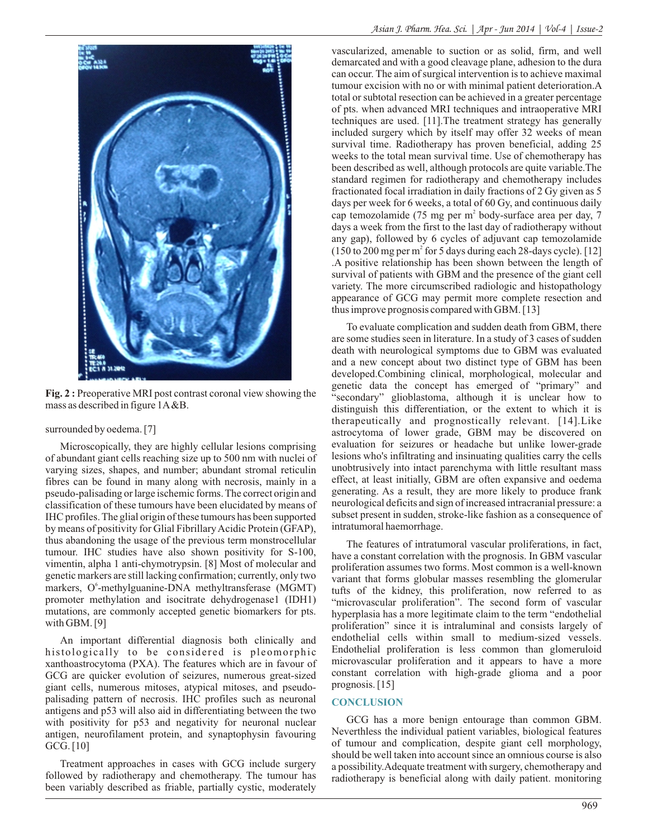

**Fig. 2 :** Preoperative MRI post contrast coronal view showing the mass as described in figure 1A&B.

#### surrounded by oedema. [7]

Microscopically, they are highly cellular lesions comprising of abundant giant cells reaching size up to 500 nm with nuclei of varying sizes, shapes, and number; abundant stromal reticulin fibres can be found in many along with necrosis, mainly in a pseudo-palisading or large ischemic forms. The correct origin and classification of these tumours have been elucidated by means of IHC profiles. The glial origin of these tumours has been supported by means of positivity for Glial Fibrillary Acidic Protein (GFAP), thus abandoning the usage of the previous term monstrocellular tumour. IHC studies have also shown positivity for S-100, vimentin, alpha 1 anti-chymotrypsin. [8] Most of molecular and genetic markers are still lacking confirmation; currently, only two markers, O<sup>6</sup>-methylguanine-DNA methyltransferase (MGMT) promoter methylation and isocitrate dehydrogenase1 (IDH1) mutations, are commonly accepted genetic biomarkers for pts. with GBM. [9]

An important differential diagnosis both clinically and histologically to be considered is pleomorphic xanthoastrocytoma (PXA). The features which are in favour of GCG are quicker evolution of seizures, numerous great-sized giant cells, numerous mitoses, atypical mitoses, and pseudopalisading pattern of necrosis. IHC profiles such as neuronal antigens and p53 will also aid in differentiating between the two with positivity for p53 and negativity for neuronal nuclear antigen, neurofilament protein, and synaptophysin favouring GCG. [10]

Treatment approaches in cases with GCG include surgery followed by radiotherapy and chemotherapy. The tumour has been variably described as friable, partially cystic, moderately

vascularized, amenable to suction or as solid, firm, and well demarcated and with a good cleavage plane, adhesion to the dura can occur. The aim of surgical intervention is to achieve maximal tumour excision with no or with minimal patient deterioration.A total or subtotal resection can be achieved in a greater percentage of pts. when advanced MRI techniques and intraoperative MRI techniques are used. [11].The treatment strategy has generally included surgery which by itself may offer 32 weeks of mean survival time. Radiotherapy has proven beneficial, adding 25 weeks to the total mean survival time. Use of chemotherapy has been described as well, although protocols are quite variable.The standard regimen for radiotherapy and chemotherapy includes fractionated focal irradiation in daily fractions of 2 Gy given as 5 days per week for 6 weeks, a total of 60 Gy, and continuous daily cap temozolamide (75 mg per m<sup>2</sup> body-surface area per day, 7 days a week from the first to the last day of radiotherapy without any gap), followed by 6 cycles of adjuvant cap temozolamide  $(150 \text{ to } 200 \text{ mg per m}^2 \text{ for } 5 \text{ days during each } 28\text{-days cycle}).$  [12] .A positive relationship has been shown between the length of survival of patients with GBM and the presence of the giant cell variety. The more circumscribed radiologic and histopathology appearance of GCG may permit more complete resection and thus improve prognosis compared with GBM. [13]

To evaluate complication and sudden death from GBM, there are some studies seen in literature. In a study of 3 cases of sudden death with neurological symptoms due to GBM was evaluated and a new concept about two distinct type of GBM has been developed.Combining clinical, morphological, molecular and genetic data the concept has emerged of "primary" and "secondary" glioblastoma, although it is unclear how to distinguish this differentiation, or the extent to which it is therapeutically and prognostically relevant. [14].Like astrocytoma of lower grade, GBM may be discovered on evaluation for seizures or headache but unlike lower-grade lesions who's infiltrating and insinuating qualities carry the cells unobtrusively into intact parenchyma with little resultant mass effect, at least initially, GBM are often expansive and oedema generating. As a result, they are more likely to produce frank neurological deficits and sign of increased intracranial pressure: a subset present in sudden, stroke-like fashion as a consequence of intratumoral haemorrhage.

The features of intratumoral vascular proliferations, in fact, have a constant correlation with the prognosis. In GBM vascular proliferation assumes two forms. Most common is a well-known variant that forms globular masses resembling the glomerular tufts of the kidney, this proliferation, now referred to as "microvascular proliferation". The second form of vascular hyperplasia has a more legitimate claim to the term "endothelial proliferation" since it is intraluminal and consists largely of endothelial cells within small to medium-sized vessels. Endothelial proliferation is less common than glomeruloid microvascular proliferation and it appears to have a more constant correlation with high-grade glioma and a poor prognosis. [15]

## **CONCLUSION**

GCG has a more benign entourage than common GBM. Neverthless the individual patient variables, biological features of tumour and complication, despite giant cell morphology, should be well taken into account since an omnious course is also a possibility.Adequate treatment with surgery, chemotherapy and radiotherapy is beneficial along with daily patient. monitoring